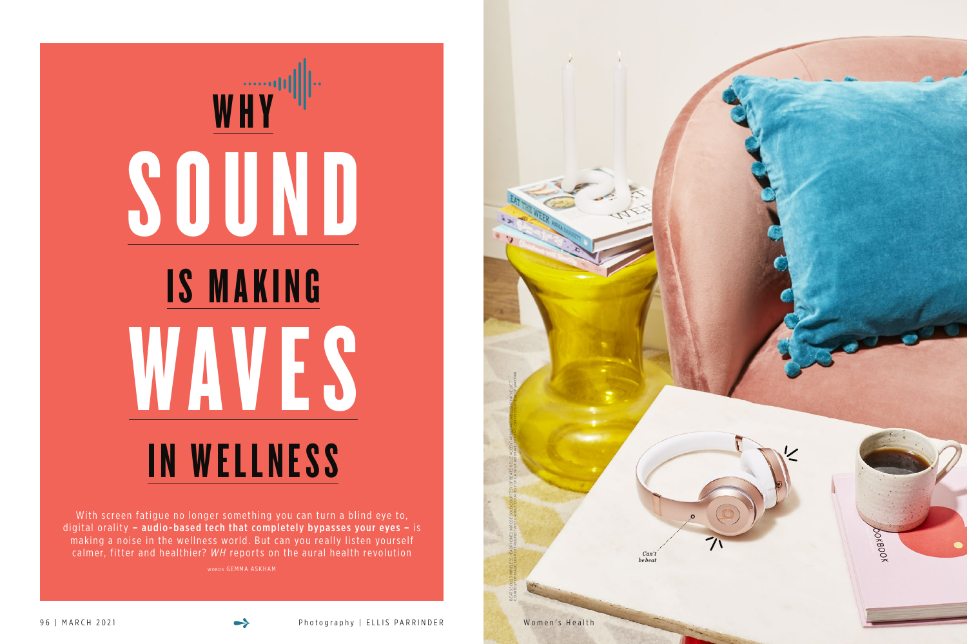# WHY SOUND IS MAKING WAVES IN WELLNESS

With screen fatigue no longer something you can turn a blind eye to, digital orality  $-$  audio-based tech that completely bypasses your eyes  $-$  is making a noise in the wellness world. But can you really listen yourself calmer, fitter and healthier? *WH* reports on the aural health revolution

WORDS GEMMA ASKHAM





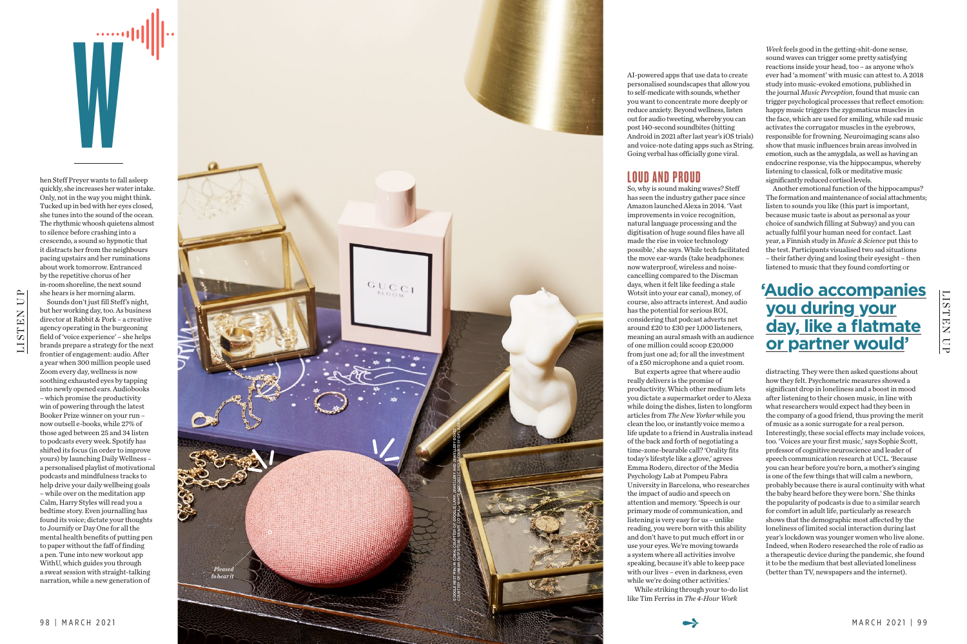hen Steff Preyer wants to fall asleep quickly, she increases her water intake.

We also a set of the contract of the contract of the contract of the contract of the contract of the contract of the contract of the contract of the contract of the contract of the contract of the contract of the contract



but her working day, too. As business director at Rabbit & Pork – a creative agency operating in the burgeoning field of 'voice experience' – she helps brands prepare a strategy for the next frontier of engagement: audio. After a year when 300 million people used Zoom every day, wellness is now soothing exhausted eyes by tapping into newly opened ears. Audiobooks – which promise the productivity win of powering through the latest Booker Prize winner on your run – now outsell e-books, while 27% of those aged between 25 and 34 listen to podcasts every week. Spotify has shifted its focus (in order to improve yours) by launching Daily Wellness – a personalised playlist of motivational podcasts and mindfulness tracks to help drive your daily wellbeing goals – while over on the meditation app Calm, Harry Styles will read you a bedtime story. Even journalling has found its voice; dictate your thoughts to Journify or Day One for all the mental health benefits of putting pen to paper without the faff of finding a pen. Tune into new workout app WithU, which guides you through a sweat session with straight-talking narration, while a new generation of

AI-powered apps that use data to create personalised soundscapes that allow you to self-medicate with sounds, whether you want to concentrate more deeply or reduce anxiety. Beyond wellness, listen out for audio tweeting, whereby you can post 140-second soundbites (hitting Android in 2021 after last year's iOS trials) and voice-note dating apps such as String. Going verbal has officially gone viral.

### LOUD AND PROUD

So, why is sound making waves? Steff has seen the industry gather pace since Amazon launched Alexa in 2014. 'Vast improvements in voice recognition, natural language processing and the digitisation of huge sound files have all made the rise in voice technology possible,' she says. While tech facilitated the move ear-wards (take headphones: now waterproof, wireless and noisecancelling compared to the Discman days, when it felt like feeding a stale Wotsit into your ear canal), money, of course, also attracts interest. And audio has the potential for serious ROI, considering that podcast adverts net around £20 to £30 per 1,000 listeners, meaning an aural smash with an audience of one million could scoop £20,000 from just one ad; for all the investment of a £50 microphone and a quiet room.



But experts agree that where audio really delivers is the promise of productivity. Which other medium lets you dictate a supermarket order to Alexa while doing the dishes, listen to longform articles from *The New Yorker* while you clean the loo, or instantly voice memo a life update to a friend in Australia instead of the back and forth of negotiating a time-zone-bearable call? 'Orality fits today's lifestyle like a glove,' agrees Emma Rodero, director of the Media Psychology Lab at Pompeu Fabra University in Barcelona, who researches the impact of audio and speech on attention and memory. 'Speech is our primary mode of communication, and listening is very easy for us – unlike reading, you were born with this ability and don't have to put much effort in or use your eyes. We're moving towards a system where all activities involve speaking, because it's able to keep pace with our lives – even in darkness, even while we're doing other activities.'

While striking through your to-do list like Tim Ferriss in *The 4-Hour Work* 

*Week* feels good in the getting-shit-done sense, sound waves can trigger some pretty satisfying reactions inside your head, too – as anyone who's ever had 'a moment' with music can attest to. A 2018 study into music-evoked emotions, published in the journal *Music Perception*, found that music can trigger psychological processes that reflect emotion: happy music triggers the zygomaticus muscles in the face, which are used for smiling, while sad music activates the corrugator muscles in the eyebrows, responsible for frowning. Neuroimaging scans also show that music influences brain areas involved in emotion, such as the amygdala, as well as having an endocrine response, via the hippocampus, whereby listening to classical, folk or meditative music significantly reduced cortisol levels.

Another emotional function of the hippocampus? The formation and maintenance of social attachments; listen to sounds you like (this part is important, because music taste is about as personal as your choice of sandwich filling at Subway) and you can actually fulfil your human need for contact. Last year, a Finnish study in *Music & Science* put this to the test. Participants visualised two sad situations – their father dying and losing their eyesight – then listened to music that they found comforting or

distracting. They were then asked questions about how they felt. Psychometric measures showed a significant drop in loneliness and a boost in mood after listening to their chosen music, in line with what researchers would expect had they been in the company of a good friend, thus proving the merit of music as a sonic surrogate for a real person.

Interestingly, these social effects may include voices, too. 'Voices are your first music,' says Sophie Scott, professor of cognitive neuroscience and leader of speech communication research at UCL. 'Because you can hear before you're born, a mother's singing is one of the few things that will calm a newborn, probably because there is aural continuity with what the baby heard before they were born.' She thinks the popularity of podcasts is due to a similar search for comfort in adult life, particularly as research shows that the demographic most affected by the loneliness of limited social interaction during last year's lockdown was younger women who live alone. Indeed, when Rodero researched the role of radio as a therapeutic device during the pandemic, she found it to be the medium that best alleviated loneliness (better than TV, newspapers and the internet).

# **'Audio accom panies you during your day, like a flatmate or partner would '**